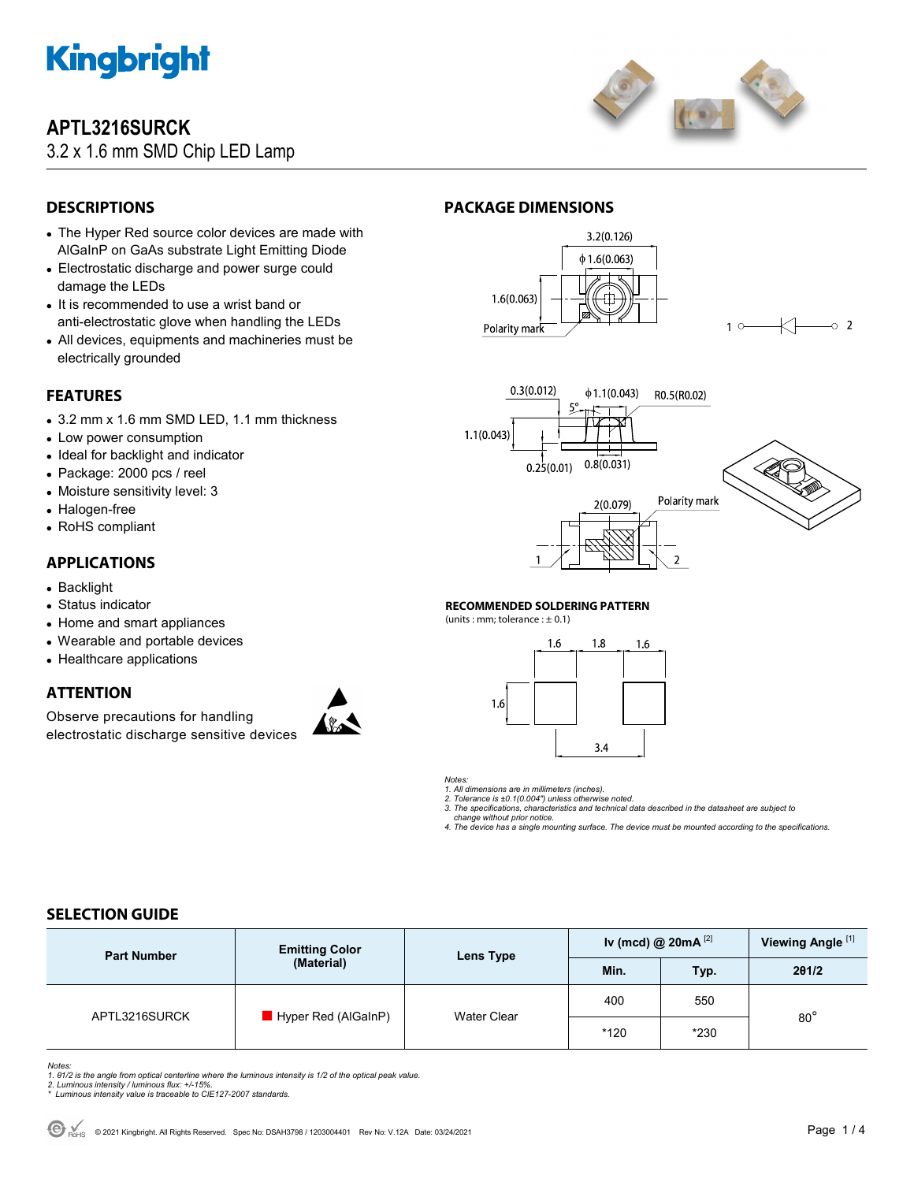

# **APTL3216SURCK**

## 3.2 x 1.6 mm SMD Chip LED Lamp



## **DESCRIPTIONS**

- The Hyper Red source color devices are made with AlGaInP on GaAs substrate Light Emitting Diode
- Electrostatic discharge and power surge could damage the LEDs
- It is recommended to use a wrist band or anti-electrostatic glove when handling the LEDs
- All devices, equipments and machineries must be electrically grounded

## **FEATURES**

- 3.2 mm x 1.6 mm SMD LED, 1.1 mm thickness
- Low power consumption
- Ideal for backlight and indicator
- Package: 2000 pcs / reel
- Moisture sensitivity level: 3
- Halogen-free
- RoHS compliant

### **APPLICATIONS**

- Backlight
- Status indicator
- Home and smart appliances
- Wearable and portable devices
- Healthcare applications

### **ATTENTION**

Observe precautions for handling electrostatic discharge sensitive devices



## **PACKAGE DIMENSIONS**



 $\sim$  2  $1^\circ$ 



### **RECOMMENDED SOLDERING PATTERN**

(units : mm; tolerance :  $\pm$  0.1)



*Notes:* 

*1. All dimensions are in millimeters (inches).* 

*2. Tolerance is ±0.1(0.004") unless otherwise noted. 3. The specifications, characteristics and technical data described in the datasheet are subject to* 

 *change without prior notice.* 

*4. The device has a single mounting surface. The device must be mounted according to the specifications.* 

## **SELECTION GUIDE**

| <b>Part Number</b> | <b>Emitting Color</b><br>(Material) | Lens Type   | Iv (mcd) @ $20mA$ <sup>[2]</sup> |            | Viewing Angle <sup>[1]</sup> |
|--------------------|-------------------------------------|-------------|----------------------------------|------------|------------------------------|
|                    |                                     |             | Min.                             | <b>Typ</b> | 201/2                        |
| APTL3216SURCK      | Hyper Red (AlGaInP)                 | Water Clear | 400                              | 550        | $80^{\circ}$                 |
|                    |                                     |             | *120                             | $*230$     |                              |

Notes:<br>1. 61/2 is the angle from optical centerline where the luminous intensity is 1/2 of the optical peak value.<br>2. Luminous intensity / luminous flux: +/-15%.<br>\* Luminous intensity value is traceable to CIE127-2007 stand

- 
-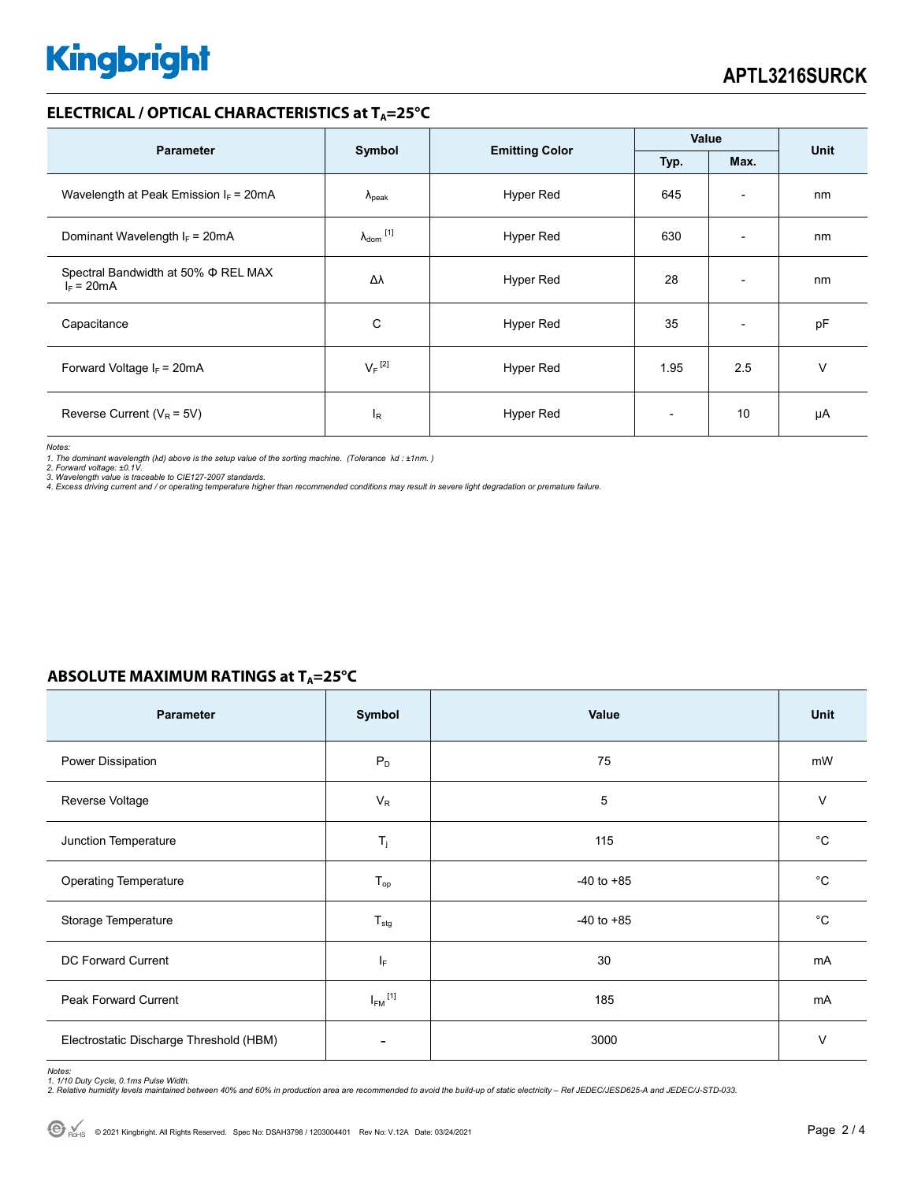# **Kingbright**

### **ELECTRICAL / OPTICAL CHARACTERISTICS at TA=25°C**

| <b>Parameter</b>                                    |                            |                                                 | Value |                          | <b>Unit</b> |
|-----------------------------------------------------|----------------------------|-------------------------------------------------|-------|--------------------------|-------------|
|                                                     |                            | Symbol<br><b>Emitting Color</b><br>Typ.<br>Max. |       |                          |             |
| Wavelength at Peak Emission $I_F$ = 20mA            | $\Lambda_{\rm peak}$       | Hyper Red                                       | 645   | $\overline{\phantom{a}}$ | nm          |
| Dominant Wavelength $I_F = 20mA$                    | $\lambda_{\text{dom}}$ [1] | Hyper Red                                       | 630   | $\overline{a}$           | nm          |
| Spectral Bandwidth at 50% Φ REL MAX<br>$I_F = 20mA$ | Δλ                         | Hyper Red                                       | 28    | $\overline{\phantom{a}}$ | nm          |
| Capacitance                                         | С                          | Hyper Red                                       | 35    | $\overline{\phantom{a}}$ | pF          |
| Forward Voltage $I_F$ = 20mA                        | $V_F$ <sup>[2]</sup>       | Hyper Red                                       | 1.95  | 2.5                      | v           |
| Reverse Current ( $V_R$ = 5V)                       | $I_{R}$                    | <b>Hyper Red</b>                                |       | 10                       | μA          |

*Notes: 1. The dominant wavelength (*λ*d) above is the setup value of the sorting machine. (Tolerance* λ*d : ±1nm. )* 

2. Forward voltage: ±0.1V.<br>3. Wavelength value is traceable to CIE127-2007 standards.<br>4. Excess driving current and / or operating temperature higher than recommended conditions may result in severe light degradation or pr

### **ABSOLUTE MAXIMUM RATINGS at T<sub>A</sub>=25°C**

| Parameter                               | Symbol                   | Value          | Unit        |
|-----------------------------------------|--------------------------|----------------|-------------|
| Power Dissipation                       | $P_D$                    | 75             | mW          |
| Reverse Voltage                         | $V_R$                    | 5              | $\vee$      |
| Junction Temperature                    | $T_j$                    | 115            | °C          |
| <b>Operating Temperature</b>            | $T_{op}$                 | $-40$ to $+85$ | $^{\circ}C$ |
| Storage Temperature                     | $T_{\text{stg}}$         | $-40$ to $+85$ | $^{\circ}C$ |
| DC Forward Current                      | ΙF                       | 30             | mA          |
| Peak Forward Current                    | $I_{FM}$ <sup>[1]</sup>  | 185            | mA          |
| Electrostatic Discharge Threshold (HBM) | $\overline{\phantom{0}}$ | 3000           | $\vee$      |

Notes:<br>1. 1/10 Duty Cycle, 0.1ms Pulse Width.<br>2. Relative humidity levels maintained between 40% and 60% in production area are recommended to avoid the build-up of static electricity – Ref JEDEC/JESD625-A and JEDEC/J-STD-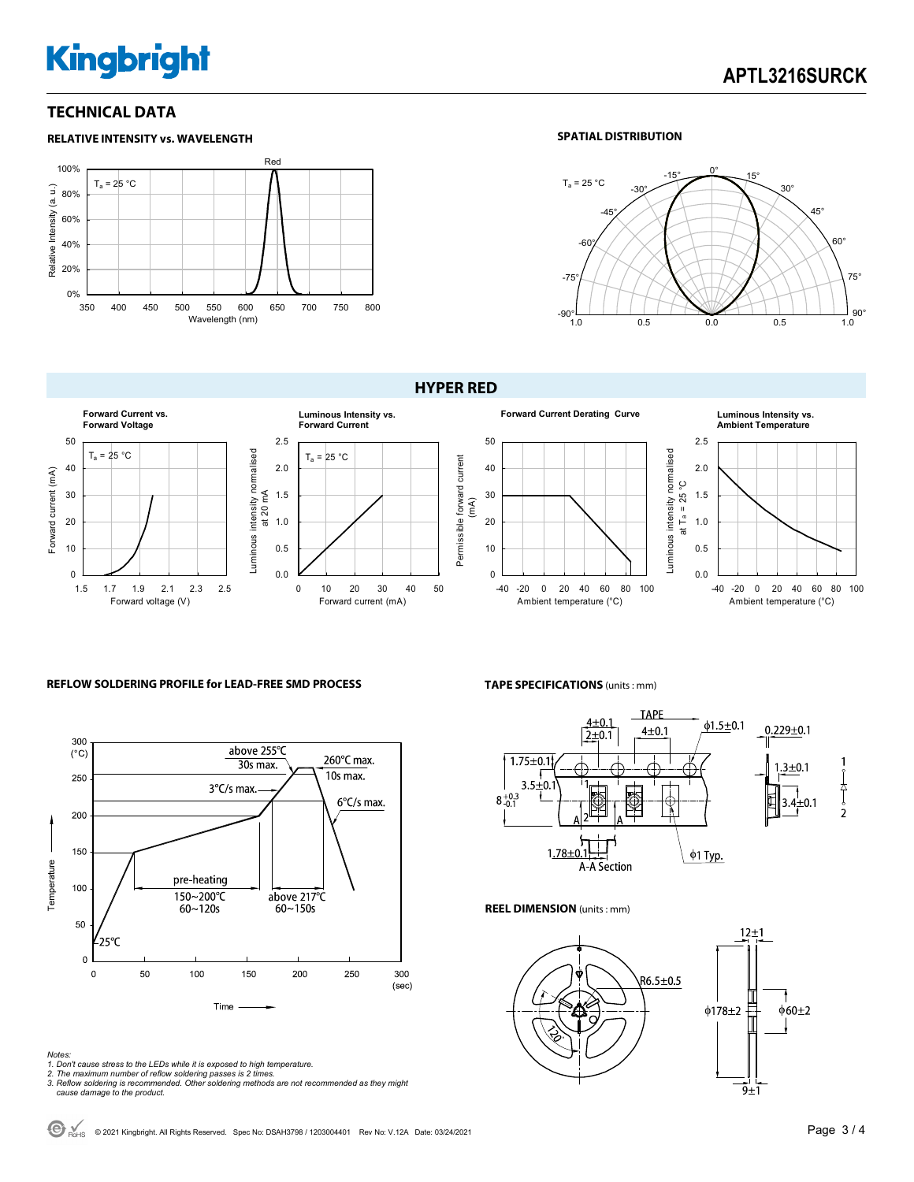# **Kingbright**

### **TECHNICAL DATA**



### **SPATIAL DISTRIBUTION**



### **HYPER RED**







#### **REFLOW SOLDERING PROFILE for LEAD-FREE SMD PROCESS**



### **TAPE SPECIFICATIONS** (units : mm)



#### **REEL DIMENSION** (units : mm)



*Notes:* 

- *1. Don't cause stress to the LEDs while it is exposed to high temperature.*
- 
- *2. The maximum number of reflow soldering passes is 2 times. 3. Reflow soldering is recommended. Other soldering methods are not recommended as they might cause damage to the product.*